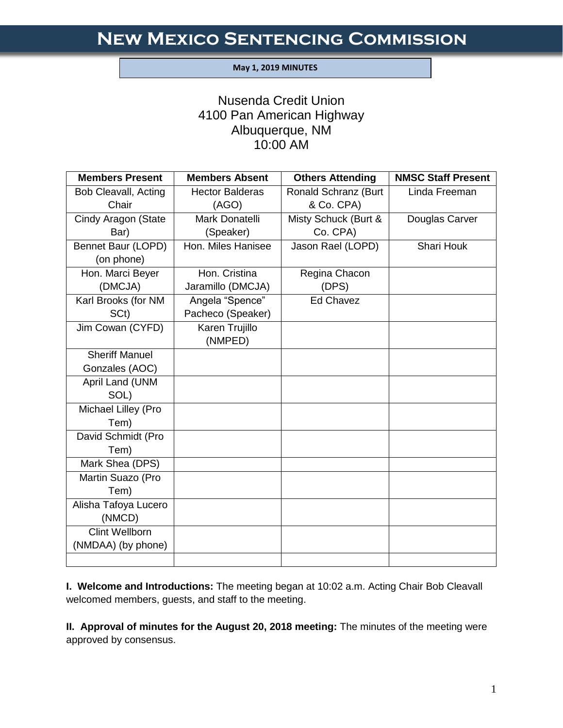#### **May 1, 2019 MINUTES**

I

# Nusenda Credit Union 4100 Pan American Highway Albuquerque, NM 10:00 AM

| <b>Members Present</b>      | <b>Members Absent</b>  | <b>Others Attending</b> | <b>NMSC Staff Present</b> |
|-----------------------------|------------------------|-------------------------|---------------------------|
| <b>Bob Cleavall, Acting</b> | <b>Hector Balderas</b> | Ronald Schranz (Burt    | Linda Freeman             |
| Chair                       | (AGO)                  | & Co. CPA)              |                           |
| Cindy Aragon (State         | Mark Donatelli         | Misty Schuck (Burt &    | Douglas Carver            |
| Bar)                        | (Speaker)              | Co. CPA)                |                           |
| Bennet Baur (LOPD)          | Hon. Miles Hanisee     | Jason Rael (LOPD)       | Shari Houk                |
| (on phone)                  |                        |                         |                           |
| Hon. Marci Beyer            | Hon. Cristina          | Regina Chacon           |                           |
| (DMCJA)                     | Jaramillo (DMCJA)      | (DPS)                   |                           |
| Karl Brooks (for NM         | Angela "Spence"        | Ed Chavez               |                           |
| SC <sub>t</sub> )           | Pacheco (Speaker)      |                         |                           |
| Jim Cowan (CYFD)            | Karen Trujillo         |                         |                           |
|                             | (NMPED)                |                         |                           |
| <b>Sheriff Manuel</b>       |                        |                         |                           |
| Gonzales (AOC)              |                        |                         |                           |
| April Land (UNM             |                        |                         |                           |
| SOL)                        |                        |                         |                           |
| Michael Lilley (Pro         |                        |                         |                           |
| Tem)                        |                        |                         |                           |
| David Schmidt (Pro          |                        |                         |                           |
| Tem)                        |                        |                         |                           |
| Mark Shea (DPS)             |                        |                         |                           |
| Martin Suazo (Pro           |                        |                         |                           |
| Tem)                        |                        |                         |                           |
| Alisha Tafoya Lucero        |                        |                         |                           |
| (NMCD)                      |                        |                         |                           |
| <b>Clint Wellborn</b>       |                        |                         |                           |
| (NMDAA) (by phone)          |                        |                         |                           |
|                             |                        |                         |                           |

**I. Welcome and Introductions:** The meeting began at 10:02 a.m. Acting Chair Bob Cleavall welcomed members, guests, and staff to the meeting.

**II. Approval of minutes for the August 20, 2018 meeting:** The minutes of the meeting were approved by consensus.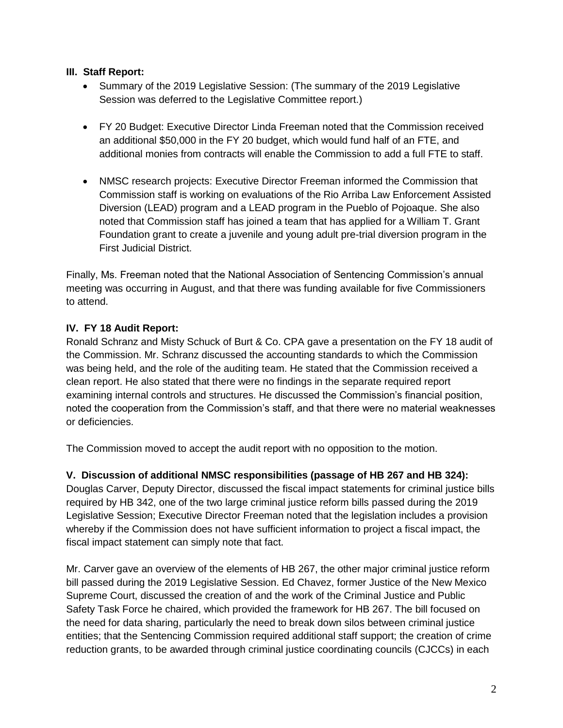## **III. Staff Report:**

- Summary of the 2019 Legislative Session: (The summary of the 2019 Legislative Session was deferred to the Legislative Committee report.)
- FY 20 Budget: Executive Director Linda Freeman noted that the Commission received an additional \$50,000 in the FY 20 budget, which would fund half of an FTE, and additional monies from contracts will enable the Commission to add a full FTE to staff.
- NMSC research projects: Executive Director Freeman informed the Commission that Commission staff is working on evaluations of the Rio Arriba Law Enforcement Assisted Diversion (LEAD) program and a LEAD program in the Pueblo of Pojoaque. She also noted that Commission staff has joined a team that has applied for a William T. Grant Foundation grant to create a juvenile and young adult pre-trial diversion program in the First Judicial District.

Finally, Ms. Freeman noted that the National Association of Sentencing Commission's annual meeting was occurring in August, and that there was funding available for five Commissioners to attend.

## **IV. FY 18 Audit Report:**

Ronald Schranz and Misty Schuck of Burt & Co. CPA gave a presentation on the FY 18 audit of the Commission. Mr. Schranz discussed the accounting standards to which the Commission was being held, and the role of the auditing team. He stated that the Commission received a clean report. He also stated that there were no findings in the separate required report examining internal controls and structures. He discussed the Commission's financial position, noted the cooperation from the Commission's staff, and that there were no material weaknesses or deficiencies.

The Commission moved to accept the audit report with no opposition to the motion.

## **V. Discussion of additional NMSC responsibilities (passage of HB 267 and HB 324):**

Douglas Carver, Deputy Director, discussed the fiscal impact statements for criminal justice bills required by HB 342, one of the two large criminal justice reform bills passed during the 2019 Legislative Session; Executive Director Freeman noted that the legislation includes a provision whereby if the Commission does not have sufficient information to project a fiscal impact, the fiscal impact statement can simply note that fact.

Mr. Carver gave an overview of the elements of HB 267, the other major criminal justice reform bill passed during the 2019 Legislative Session. Ed Chavez, former Justice of the New Mexico Supreme Court, discussed the creation of and the work of the Criminal Justice and Public Safety Task Force he chaired, which provided the framework for HB 267. The bill focused on the need for data sharing, particularly the need to break down silos between criminal justice entities; that the Sentencing Commission required additional staff support; the creation of crime reduction grants, to be awarded through criminal justice coordinating councils (CJCCs) in each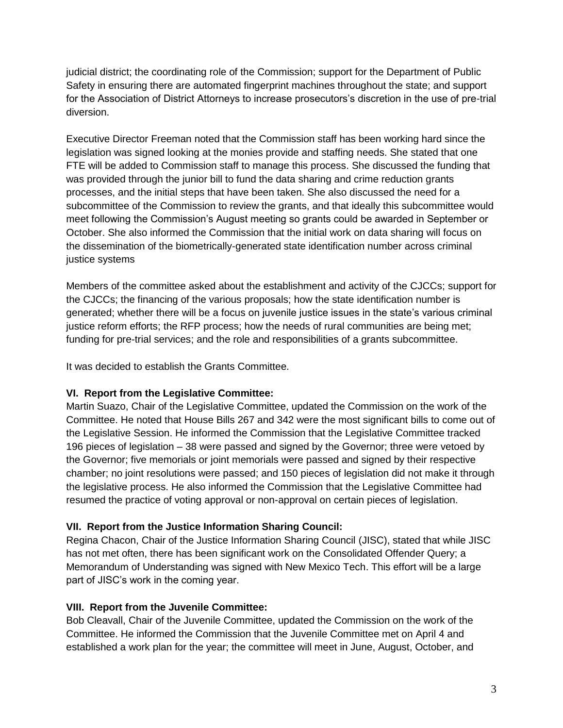judicial district; the coordinating role of the Commission; support for the Department of Public Safety in ensuring there are automated fingerprint machines throughout the state; and support for the Association of District Attorneys to increase prosecutors's discretion in the use of pre-trial diversion.

Executive Director Freeman noted that the Commission staff has been working hard since the legislation was signed looking at the monies provide and staffing needs. She stated that one FTE will be added to Commission staff to manage this process. She discussed the funding that was provided through the junior bill to fund the data sharing and crime reduction grants processes, and the initial steps that have been taken. She also discussed the need for a subcommittee of the Commission to review the grants, and that ideally this subcommittee would meet following the Commission's August meeting so grants could be awarded in September or October. She also informed the Commission that the initial work on data sharing will focus on the dissemination of the biometrically-generated state identification number across criminal justice systems

Members of the committee asked about the establishment and activity of the CJCCs; support for the CJCCs; the financing of the various proposals; how the state identification number is generated; whether there will be a focus on juvenile justice issues in the state's various criminal justice reform efforts; the RFP process; how the needs of rural communities are being met; funding for pre-trial services; and the role and responsibilities of a grants subcommittee.

It was decided to establish the Grants Committee.

## **VI. Report from the Legislative Committee:**

Martin Suazo, Chair of the Legislative Committee, updated the Commission on the work of the Committee. He noted that House Bills 267 and 342 were the most significant bills to come out of the Legislative Session. He informed the Commission that the Legislative Committee tracked 196 pieces of legislation – 38 were passed and signed by the Governor; three were vetoed by the Governor; five memorials or joint memorials were passed and signed by their respective chamber; no joint resolutions were passed; and 150 pieces of legislation did not make it through the legislative process. He also informed the Commission that the Legislative Committee had resumed the practice of voting approval or non-approval on certain pieces of legislation.

## **VII. Report from the Justice Information Sharing Council:**

Regina Chacon, Chair of the Justice Information Sharing Council (JISC), stated that while JISC has not met often, there has been significant work on the Consolidated Offender Query; a Memorandum of Understanding was signed with New Mexico Tech. This effort will be a large part of JISC's work in the coming year.

#### **VIII. Report from the Juvenile Committee:**

Bob Cleavall, Chair of the Juvenile Committee, updated the Commission on the work of the Committee. He informed the Commission that the Juvenile Committee met on April 4 and established a work plan for the year; the committee will meet in June, August, October, and